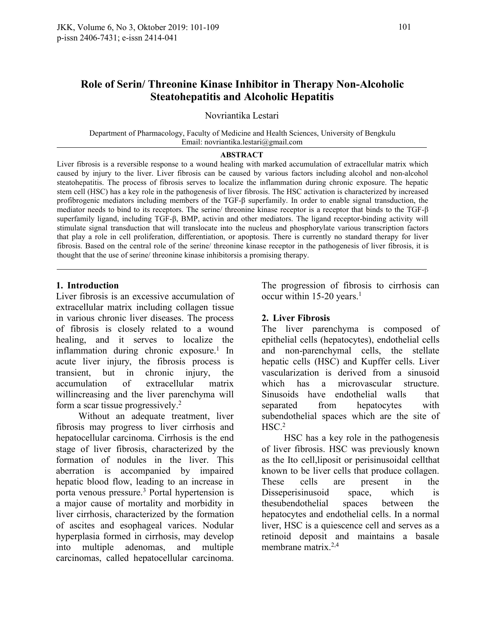# **Role of Serin/ Threonine Kinase Inhibitor in Therapy Non-Alcoholic Steatohepatitis and Alcoholic Hepatitis**

Novriantika Lestari

Department of Pharmacology, Faculty of Medicine and Health Sciences, University of Bengkulu Email: novriantika.lestari@gmail.com

#### **ABSTRACT**

Liver fibrosis is a reversible response to a wound healing with marked accumulation of extracellular matrix which caused by injury to the liver. Liver fibrosis can be caused by various factors including alcohol and non-alcohol steatohepatitis. The process of fibrosis serves to localize the inflammation during chronic exposure. The hepatic stem cell (HSC) has a key role in the pathogenesis of liver fibrosis. The HSC activation is characterized by increased profibrogenic mediators including members of the TGF-β superfamily. In order to enable signal transduction, the mediator needs to bind to its receptors. The serine/ threonine kinase receptor is a receptor that binds to the TGF-β superfamily ligand, including TGF-β, BMP, activin and other mediators. The ligand receptor-binding activity will stimulate signal transduction that will translocate into the nucleus and phosphorylate various transcription factors that play a role in cell proliferation, differentiation, or apoptosis. There is currently no standard therapy for liver fibrosis. Based on the central role of the serine/ threonine kinase receptor in the pathogenesis of liver fibrosis, it is thought that the use of serine/ threonine kinase inhibitorsis a promising therapy.

#### **1. Introduction**

Liver fibrosis is an excessive accumulation of extracellular matrix including collagen tissue in various chronic liver diseases. The process of fibrosis is closely related to a wound healing, and it serves to localize the inflammation during chronic exposure.<sup>1</sup> In acute liver injury, the fibrosis process is accumulation of extracellular matrix willincreasing and the liver parenchyma will form a scar tissue progressively.<sup>2</sup>

Without an adequate treatment, liver fibrosis may progress to liver cirrhosis and hepatocellular carcinoma. Cirrhosis is the end stage of liver fibrosis, characterized by the formation of nodules in the liver. This aberration is accompanied by impaired hepatic blood flow, leading to an increase in These cells porta venous pressure.<sup>3</sup> Portal hypertension is a major cause of mortality and morbidity in liver cirrhosis, characterized by the formation of ascites and esophageal varices. Nodular hyperplasia formed in cirrhosis, may develop into multiple adenomas, and multiple carcinomas, called hepatocellular carcinoma.

The progression of fibrosis to cirrhosis can occur within 15-20 years.<sup>1</sup>

#### **2. Liver Fibrosis**

transient, but in chronic injury, the vascularization is derived from a sinusoid The liver parenchyma is composed of epithelial cells (hepatocytes), endothelial cells and non-parenchymal cells, the stellate hepatic cells (HSC) and Kupffer cells. Liver microvascular structure. Sinusoids have endothelial walls that separated from hepatocytes with subendothelial spaces which are the site of  $HSC<sup>2</sup>$ 

> HSC has a key role in the pathogenesis of liver fibrosis. HSC was previously known as the Ito cell,liposit or perisinusoidal cellthat known to be liver cells that produce collagen. are present in the Disseperisinusoid space, which is thesubendothelial spaces between the hepatocytes and endothelial cells. In a normal liver, HSC is a quiescence cell and serves as a retinoid deposit and maintains a basale membrane matrix. $2,4$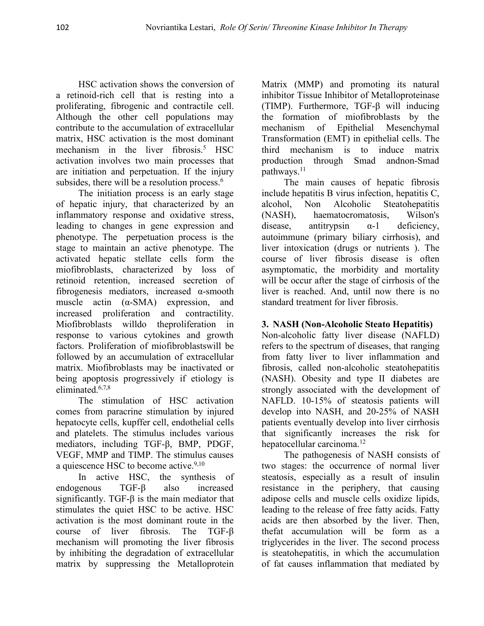HSC activation shows the conversion of a retinoid-rich cell that is resting into a proliferating, fibrogenic and contractile cell. Although the other cell populations may contribute to the accumulation of extracellular matrix, HSC activation is the most dominant mechanism in the liver fibrosis.<sup>5</sup> HSC activation involves two main processes that are initiation and perpetuation. If the injury subsides, there will be a resolution process.<sup>6</sup>

The initiation process is an early stage of hepatic injury, that characterized by an inflammatory response and oxidative stress, (NASH), leading to changes in gene expression and phenotype. The perpetuation process is the stage to maintain an active phenotype. The activated hepatic stellate cells form the miofibroblasts, characterized by loss of retinoid retention, increased secretion of fibrogenesis mediators, increased α-smooth muscle actin (α-SMA) expression, and increased proliferation and contractility. Miofibroblasts willdo theproliferation in response to various cytokines and growth factors. Proliferation of miofibroblastswill be followed by an accumulation of extracellular matrix. Miofibroblasts may be inactivated or being apoptosis progressively if etiology is eliminated.6,7,8

The stimulation of HSC activation comes from paracrine stimulation by injured hepatocyte cells, kupffer cell, endothelial cells and platelets. The stimulus includes various mediators, including TGF-β, BMP, PDGF, VEGF, MMP and TIMP. The stimulus causes a quiescence HSC to become active.<sup>9,10</sup>

In active HSC, the synthesis of significantly. TGF- $\beta$  is the main mediator that stimulates the quiet HSC to be active. HSC activation is the most dominant route in the course of liver fibrosis. The TGF-β mechanism will promoting the liver fibrosis by inhibiting the degradation of extracellular matrix by suppressing the Metalloprotein Matrix (MMP) and promoting its natural inhibitor Tissue Inhibitor of Metalloproteinase (TIMP). Furthermore, TGF-β will inducing the formation of miofibroblasts by the mechanism of Epithelial Mesenchymal Transformation (EMT) in epithelial cells. The third mechanism is to induce matrix production through Smad andnon-Smad pathways.<sup>11</sup>

The main causes of hepatic fibrosis include hepatitis B virus infection, hepatitis C, Alcoholic Steatohepatitis haematocromatosis, Wilson's antitrypsin  $\alpha$ -1 deficiency, autoimmune (primary biliary cirrhosis), and liver intoxication (drugs or nutrients ). The course of liver fibrosis disease is often asymptomatic, the morbidity and mortality will be occur after the stage of cirrhosis of the liver is reached. And, until now there is no standard treatment for liver fibrosis.

## **3. NASH (Non-Alcoholic Steato Hepatitis)**

Non-alcoholic fatty liver disease (NAFLD) refers to the spectrum of diseases, that ranging from fatty liver to liver inflammation and fibrosis, called non-alcoholic steatohepatitis (NASH). Obesity and type II diabetes are strongly associated with the development of NAFLD. 10-15% of steatosis patients will develop into NASH, and 20-25% of NASH patients eventually develop into liver cirrhosis that significantly increases the risk for hepatocellular carcinoma.<sup>12</sup>

endogenous TGF-β also increased resistance in the periphery, that causing The pathogenesis of NASH consists of two stages: the occurrence of normal liver steatosis, especially as a result of insulin adipose cells and muscle cells oxidize lipids, leading to the release of free fatty acids. Fatty acids are then absorbed by the liver. Then, thefat accumulation will be form as a triglycerides in the liver. The second process is steatohepatitis, in which the accumulation of fat causes inflammation that mediated by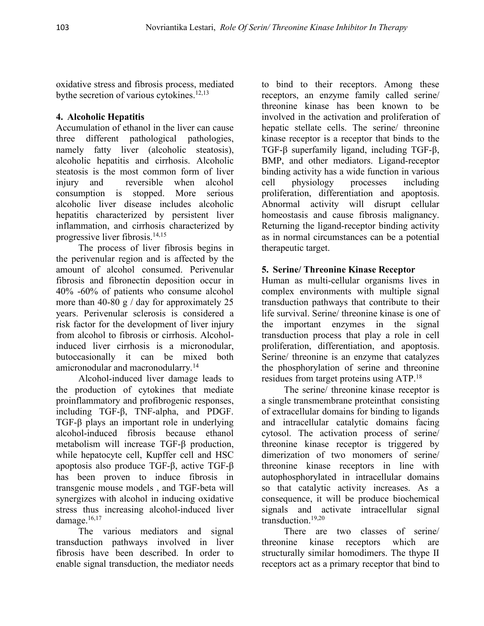oxidative stress and fibrosis process, mediated bythe secretion of various cytokines.<sup>12,13</sup>

# **4. Alcoholic Hepatitis**

Accumulation of ethanol in the liver can cause three different pathological pathologies, namely fatty liver (alcoholic steatosis), alcoholic hepatitis and cirrhosis. Alcoholic steatosis is the most common form of liver injury and reversible when alcohol consumption is stopped. More serious alcoholic liver disease includes alcoholic hepatitis characterized by persistent liver inflammation, and cirrhosis characterized by progressive liver fibrosis.<sup>14,15</sup>

The process of liver fibrosis begins in the perivenular region and is affected by the amount of alcohol consumed. Perivenular fibrosis and fibronectin deposition occur in 40% -60% of patients who consume alcohol more than 40-80 g  $/$  day for approximately 25 years. Perivenular sclerosis is considered a risk factor for the development of liver injury from alcohol to fibrosis or cirrhosis. Alcoholinduced liver cirrhosis is a micronodular, proliferation, differentiation, and apoptosis. butoccasionally it can be mixed both amicronodular and macronodularry.<sup>14</sup>

Alcohol-induced liver damage leads to the production of cytokines that mediate proinflammatory and profibrogenic responses, including TGF-β, TNF-alpha, and PDGF. TGF-β plays an important role in underlying alcohol-induced fibrosis because ethanol metabolism will increase TGF-β production, while hepatocyte cell, Kupffer cell and HSC apoptosis also produce TGF-β, active TGF-β has been proven to induce fibrosis in transgenic mouse models , and TGF-beta will synergizes with alcohol in inducing oxidative stress thus increasing alcohol-induced liver damage.<sup>16,17</sup>

The various mediators and signal transduction pathways involved in liver fibrosis have been described.In order to enable signal transduction, the mediator needs

to bind to their receptors. Among these receptors, an enzyme family called serine/ threonine kinase has been known to be involved in the activation and proliferation of hepatic stellate cells. The serine/ threonine kinase receptor is a receptor that binds to the TGF-β superfamily ligand, including TGF-β, BMP, and other mediators. Ligand-receptor binding activity has a wide function in various physiology processes including proliferation, differentiation and apoptosis. Abnormal activity will disrupt cellular homeostasis and cause fibrosis malignancy. Returning the ligand-receptor binding activity as in normal circumstances can be a potential therapeutic target.

# **5. Serine/ Threonine Kinase Receptor**

Human as multi-cellular organisms lives in complex environments with multiple signal transduction pathways that contribute to their life survival. Serine/ threonine kinase is one of the important enzymes in the signal transduction process that play a role in cell Serine/ threonine is an enzyme that catalyzes the phosphorylation of serine and threonine residues from target proteins using ATP.<sup>18</sup>

The serine/ threonine kinase receptor is a single transmembrane proteinthat consisting of extracellular domains for binding to ligands and intracellular catalytic domains facing cytosol. The activation process of serine/ threonine kinase receptor is triggered by dimerization of two monomers of serine/ threonine kinase receptors in line with autophosphorylated in intracellular domains so that catalytic activity increases. As a consequence, it will be produce biochemical signals and activate intracellular signal transduction.19,20

There are two classes of serine/ kinase receptors which are structurally similar homodimers. The thype II receptors act as a primary receptor that bind to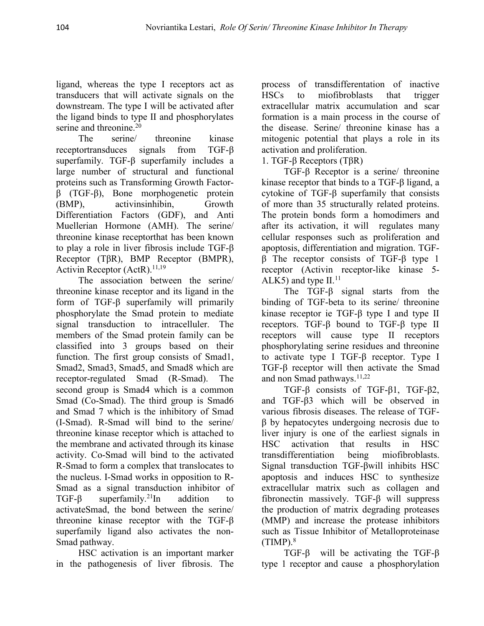ligand, whereas the type I receptors act as transducers that will activate signals on the downstream. The type I will be activated after the ligand binds to type II and phosphorylates serine and threonine.<sup>20</sup>

receptortransduces signals from TGF-β superfamily. TGF-β superfamily includes a large number of structural and functional proteins such as Transforming Growth Factor-β (TGF-β), Bone morphogenetic protein Differentiation Factors (GDF), and Anti Muellerian Hormone (AMH). The serine/ threonine kinase receptorthat has been known to play a role in liver fibrosis include TGF-β Receptor (TβR), BMP Receptor (BMPR), Activin Receptor (ActR). $11,19$ 

The association between the serine/ threonine kinase receptor and its ligand in the form of TGF-β superfamily will primarily phosphorylate the Smad protein to mediate signal transduction to intracelluler. The members of the Smad protein family can be classified into 3 groups based on their function. The first group consists of Smad1, Smad2, Smad3, Smad5, and Smad8 which are receptor-regulated Smad (R-Smad). The second group is Smad4 which is a common Smad (Co-Smad). The third group is Smad6 and Smad 7 which is the inhibitory of Smad (I-Smad). R-Smad will bind to the serine/ threonine kinase receptor which is attached to the membrane and activated through its kinase activity. Co-Smad will bind to the activated R-Smad to form a complex that translocates to the nucleus. I-Smad works in opposition to R- Smad as a signal transduction inhibitor of TGF- $\beta$  superfamily.<sup>21</sup>In addition to activateSmad, the bond between the serine/ threonine kinase receptor with the TGF-β superfamily ligand also activates the non- Smad pathway.

HSC activation is an important marker in the pathogenesis of liver fibrosis. The

The serine/ threonine kinase mitogenic potential that plays a role in its process of transdifferentation of inactive miofibroblasts that trigger extracellular matrix accumulation and scar formation is a main process in the course of the disease. Serine/ threonine kinase has a activation and proliferation.

1. TGF-β Receptors (TβR)

(BMP), activinsinhibin, Growth of more than 35 structurally related proteins. TGF- $\beta$  Receptor is a serine/threonine kinase receptor that binds to a TGF-β ligand, a cytokine of TGF-β superfamily that consists The protein bonds form a homodimers and after its activation, it will regulates many cellular responses such as proliferation and apoptosis, differentiation and migration. TGF β The receptor consists of TGF-β type 1 receptor (Activin receptor-like kinase 5- ALK5) and type  $II.<sup>11</sup>$ 

The TGF-β signal starts from the binding of TGF-beta to its serine/ threonine kinase receptor ie TGF-β type I and type II receptors. TGF-β bound to TGF-β type II receptors will cause type II receptors phosphorylating serine residues and threonine to activate type I TGF-β receptor. Type I TGF-β receptor will then activate the Smad and non Smad pathways.<sup>11,22</sup>

TGF-β consists of TGF-β1, TGF-β2, and TGF-β3 which will be observed in various fibrosis diseases. The release of TGF β by hepatocytes undergoing necrosis due to liver injury is one of the earliest signals in that results in HSC transdifferentiation being miofibroblasts. Signal transduction TGF-βwill inhibits HSC apoptosis and induces HSC to synthesize extracellular matrix such as collagen and fibronectin massively. TGF-β will suppress the production of matrix degrading proteases (MMP) and increase the protease inhibitors such as Tissue Inhibitor of Metalloproteinase  $(TMP).$ <sup>8</sup>

TGF-β will be activating the TGF-β type 1 receptor and cause a phosphorylation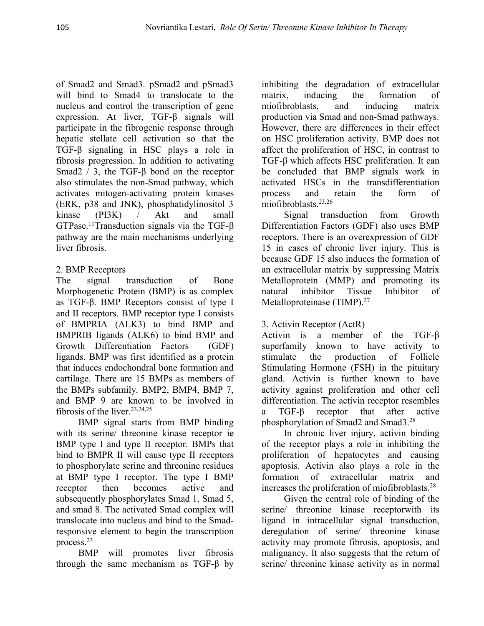of Smad2 and Smad3. pSmad2 and pSmad3 will bind to Smad4 to translocate to the matrix, inducing nucleus and control the transcription of gene expression. At liver, TGF-β signals will participate in the fibrogenic response through hepatic stellate cell activation so that the TGF-β signaling in HSC plays a role in fibrosis progression. In addition to activating Smad2 / 3, the TGF- $\beta$  bond on the receptor also stimulates the non-Smad pathway, which activates mitogen-activating protein kinases (ERK, p38 and JNK), phosphatidylinositol 3 kinase (PI3K) / Akt and small GTPase.<sup>11</sup>Transduction signals via the TGF- $\beta$ pathway are the main mechanisms underlying liver fibrosis.

# 2. BMP Receptors

Morphogenetic Protein (BMP) is as complex natural as TGF-β. BMP Receptors consist of type I and II receptors. BMP receptor type I consists of BMPRIA (ALK3) to bind BMP and BMPRIB ligands (ALK6) to bind BMP and Growth Differentiation Factors (GDF) ligands. BMP was first identified as a protein that induces endochondral bone formation and cartilage. There are 15 BMPs as members of the BMPs subfamily. BMP2, BMP4, BMP 7, and BMP 9 are known to be involved in fibrosis of the liver.<sup>23,24,25</sup>

BMP signal starts from BMP binding with its serine/ threonine kinase receptor ie BMP type I and type II receptor. BMPs that bind to BMPR II will cause type II receptors to phosphorylate serine and threonine residues at BMP type I receptor. The type I BMP receptor then becomes active and increases the proliferation of miofibroblasts.<sup>28</sup> subsequently phosphorylates Smad 1, Smad 5, and smad 8. The activated Smad complex will translocate into nucleus and bind to the Smadresponsive element to begin the transcription process.<sup>23</sup>

BMP will promotes liver fibrosis through the same mechanism as TGF-β by inhibiting the degradation of extracellular the formation of miofibroblasts, and inducing matrix production via Smad and non-Smad pathways. However, there are differences in their effect on HSC proliferation activity. BMP does not affect the proliferation of HSC, in contrast to TGF-β which affects HSC proliferation. It can be concluded that BMP signals work in activated HSCs in the transdifferentiation process and retain the form of miofibroblasts.23,26

The signal transduction of Bone Metalloprotein (MMP) and promoting its transduction from Growth Differentiation Factors (GDF) also uses BMP receptors. There is an overexpression of GDF 15 in cases of chronic liver injury. This is because GDF 15 also induces the formation of an extracellular matrix by suppressing Matrix inhibitor Tissue Inhibitor of Metalloproteinase (TIMP).<sup>27</sup>

# 3. Activin Receptor (ActR)

Activin is a member of the TGF-β superfamily known to have activity to production of Follicle Stimulating Hormone (FSH) in the pituitary gland. Activin is further known to have activity against proliferation and other cell differentiation. The activin receptor resembles a TGF-β receptor that after active phosphorylation of Smad2 and Smad3.<sup>28</sup>

In chronic liver injury, activin binding of the receptor plays a role in inhibiting the proliferation of hepatocytes and causing apoptosis. Activin also plays a role in the formation of extracellular matrix and

Given the central role of binding of the serine/ threonine kinase receptorwith its ligand in intracellular signal transduction, deregulation of serine/ threonine kinase activity may promote fibrosis, apoptosis, and malignancy. It also suggests that the return of serine/ threonine kinase activity as in normal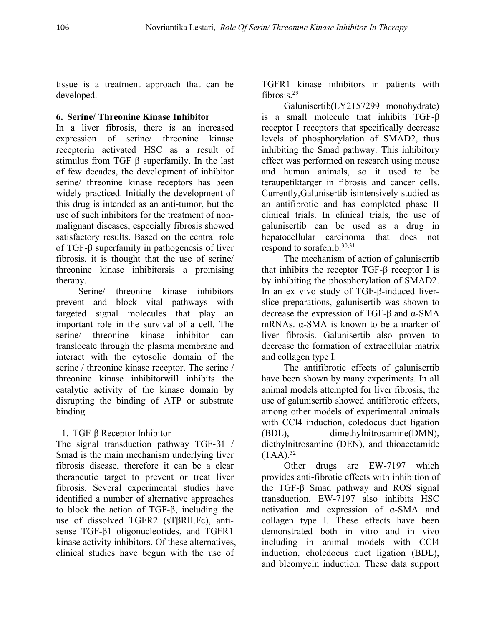tissue is a treatment approach that can be developed.

## **6. Serine/ Threonine Kinase Inhibitor**

In a liver fibrosis, there is an increased expression of serine/ threonine kinase receptorin activated HSC as a result of stimulus from TGF  $\beta$  superfamily. In the last of few decades, the development of inhibitor serine/ threonine kinase receptors has been widely practiced. Initially the development of this drug is intended as an anti-tumor, but the use of such inhibitors for the treatment of non malignant diseases, especially fibrosis showed satisfactory results. Based on the central role of TGF-β superfamily in pathogenesis of liver fibrosis, it is thought that the use of serine/ threonine kinase inhibitorsis a promising therapy.

Serine/ threonine kinase inhibitors prevent and block vital pathways with targeted signal molecules that play an important role in the survival of a cell. The translocate through the plasma membrane and interact with the cytosolic domain of the serine / threonine kinase receptor. The serine / threonine kinase inhibitorwill inhibits the catalytic activity of the kinase domain by disrupting the binding of ATP or substrate binding.

# 1. TGF-β Receptor Inhibitor

The signal transduction pathway TGF-β1 / Smad is the main mechanism underlying liver fibrosis disease, therefore it can be a clear therapeutic target to prevent or treat liver fibrosis. Several experimental studies have identified a number of alternative approaches to block the action of TGF- $\beta$ , including the use of dissolved TGFR2 (sTβRII.Fc), anti sense TGF-β1 oligonucleotides, and TGFR1 kinase activity inhibitors. Of these alternatives, clinical studies have begun with the use of

TGFR1 kinase inhibitors in patients with fibrosis.<sup>29</sup>

Galunisertib(LY2157299 monohydrate) is a small molecule that inhibits TGF-β receptor I receptors that specifically decrease levels of phosphorylation of SMAD2, thus inhibiting the Smad pathway. This inhibitory effect was performed on research using mouse and human animals, so it used to be teraupetiktarger in fibrosis and cancer cells. Currently,Galunisertib isintensively studied as an antifibrotic and has completed phase II clinical trials. In clinical trials, the use of galunisertib can be used as a drug in hepatocellular carcinoma that does not respond to sorafenib.30,31

serine/ threonine kinase inhibitor can liver fibrosis. Galunisertib also proven to The mechanism of action of galunisertib that inhibits the receptor TGF-β receptor I is by inhibiting the phosphorylation of SMAD2. In an ex vivo study of TGF-β-induced liver slice preparations, galunisertib was shown to decrease the expression of TGF-β and α-SMA mRNAs. α-SMA is known to be a marker of decrease the formation of extracellular matrix and collagen type I.

The antifibrotic effects of galunisertib have been shown by many experiments. In all animal models attempted for liver fibrosis, the use of galunisertib showed antifibrotic effects, among other models of experimental animals with CCl4 induction, coledocus duct ligation (BDL), dimethylnitrosamine(DMN), diethylnitrosamine (DEN), and thioacetamide  $(TAA).$ <sup>32</sup>

Other drugs are EW-7197 which provides anti-fibrotic effects with inhibition of the TGF-β Smad pathway and ROS signal transduction. EW-7197 also inhibits HSC activation and expression of α-SMA and collagen type I. These effects have been demonstrated both in vitro and in vivo including in animal models with CCl4 induction, choledocus duct ligation (BDL), and bleomycin induction. These data support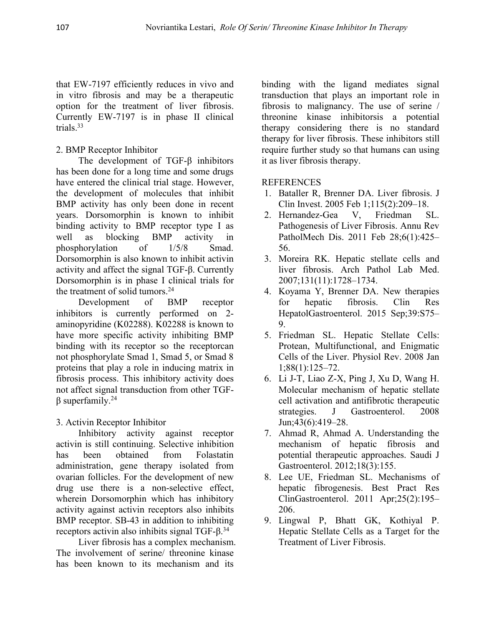that EW-7197 efficiently reduces in vivo and in vitro fibrosis and may be a therapeutic option for the treatment of liver fibrosis. Currently EW-7197 is in phase II clinical trials.<sup>33</sup>

## 2. BMP Receptor Inhibitor

The development of TGF-β inhibitors has been done for a long time and some drugs have entered the clinical trial stage. However, the development of molecules that inhibit BMP activity has only been done in recent years. Dorsomorphin is known to inhibit binding activity to BMP receptor type I as well as blocking BMP activity in PatholMech Dis. 2011 Feb 28;6(1):425– phosphorylation of  $1/5/8$  Smad.<br>Dorsomorphin is also known to inhibit activin activity and affect the signal TGF- $β$ . Currently Dorsomorphin is in phase I clinical trials for the treatment of solid tumors.<sup>24</sup>

Development of BMP receptor inhibitors is currently performed on 2 aminopyridine (K02288). K02288 is known to have more specific activity inhibiting BMP binding with its receptor so the receptorcan not phosphorylate Smad 1, Smad 5, or Smad 8 proteins that play a role in inducing matrix in fibrosis process. This inhibitory activity does not affect signal transduction from other TGF β superfamily.<sup>24</sup>

## 3. Activin Receptor Inhibitor

Inhibitory activity against receptor activin is still continuing. Selective inhibition has been obtained from Folastatin potential therapeutic approaches. Saudi J administration, gene therapy isolated from ovarian follicles. For the development of new drug use there is a non-selective effect, wherein Dorsomorphin which has inhibitory activity against activin receptors also inhibits BMP receptor. SB-43 in addition to inhibiting receptors activin also inhibits signal TGF-β.<sup>34</sup>

Liver fibrosis has a complex mechanism. The involvement of serine/ threonine kinase has been known to its mechanism and its

binding with the ligand mediates signal transduction that plays an important role in fibrosis to malignancy. The use of serine / threonine kinase inhibitorsis a potential therapy considering there is no standard therapy for liver fibrosis. These inhibitors still require further study so that humans can using it as liver fibrosis therapy.

## REFERENCES

- 1. Bataller R, Brenner DA. Liver fibrosis. J Clin Invest. 2005 Feb 1;115(2):209–18.
- 2. Hernandez-Gea V, Friedman SL. Pathogenesis of Liver Fibrosis. Annu Rev 56.
- 3. Moreira RK. Hepatic stellate cells and liver fibrosis. Arch Pathol Lab Med. 2007;131(11):1728–1734.
- 4. Koyama Y, Brenner DA. New therapies hepatic fibrosis. Clin Res HepatolGastroenterol. 2015 Sep;39:S75– 9.
- 5. Friedman SL. Hepatic Stellate Cells: Protean, Multifunctional, and Enigmatic Cells of the Liver. Physiol Rev. 2008 Jan 1;88(1):125–72.
- 6. Li J-T, Liao Z-X, Ping J, Xu D, Wang H. Molecular mechanism of hepatic stellate cell activation and antifibrotic therapeutic strategies. J Gastroenterol. 2008 Jun;43(6):419–28.
- 7. Ahmad R, Ahmad A. Understanding the mechanism of hepatic fibrosis and Gastroenterol. 2012;18(3):155.
- 8. Lee UE, Friedman SL. Mechanisms of hepatic fibrogenesis. Best Pract Res ClinGastroenterol. 2011 Apr;25(2):195– 206.
- 9. Lingwal P, Bhatt GK, Kothiyal P. Hepatic Stellate Cells as a Target for the Treatment of Liver Fibrosis.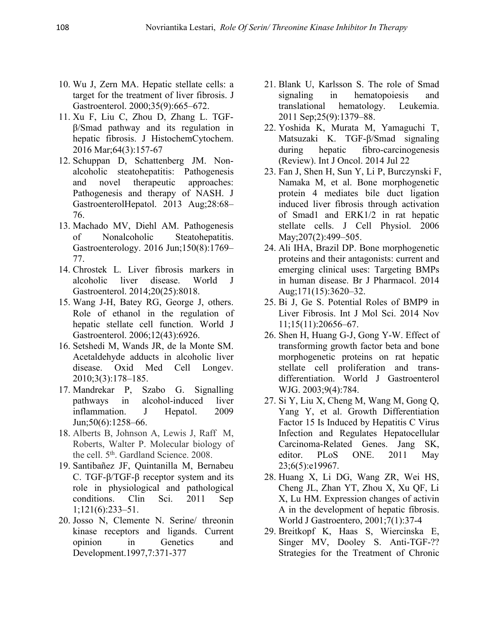- 10. Wu J, Zern MA. Hepatic stellate cells: a target for the treatment of liver fibrosis. J Gastroenterol. 2000;35(9):665–672.
- 11. Xu F, Liu C, Zhou D, Zhang L. TGF β/Smad pathway and its regulation in hepatic fibrosis. J HistochemCytochem. 2016 Mar;64(3):157-67
- 12. Schuppan D, Schattenberg JM. Non alcoholic steatohepatitis: Pathogenesis and novel therapeutic approaches: Pathogenesis and therapy of NASH. J GastroenterolHepatol. 2013 Aug;28:68– 76.
- 13. Machado MV, Diehl AM. Pathogenesis of Nonalcoholic Steatohepatitis. Gastroenterology. 2016 Jun;150(8):1769– 77.
- 14. Chrostek L. Liver fibrosis markers in alcoholic liver disease. World J Gastroenterol. 2014;20(25):8018.
- 15. Wang J-H, Batey RG, George J, others. Role of ethanol in the regulation of hepatic stellate cell function. World J Gastroenterol. 2006;12(43):6926.
- 16. Setshedi M, Wands JR, de la Monte SM. Acetaldehyde adducts in alcoholic liver disease. Oxid Med Cell Longev. 2010;3(3):178–185.
- 17. Mandrekar P, Szabo G. Signalling pathways in alcohol-induced liver inflammation. J Hepatol. 2009 Jun;50(6):1258–66.
- 18. Alberts B, Johnson A, Lewis J, Raff M, Roberts, Walter P. Molecular biology of the cell. 5<sup>th</sup>. Gardland Science. 2008.
- 19. Santibañez JF, Quintanilla M, Bernabeu C. TGF-β/TGF-β receptor system and its role in physiological and pathological 1;121(6):233–51.
- 20. Josso N, Clemente N. Serine/ threonin kinase receptors and ligands. Current Development.1997,7:371-377
- 21. Blank U, Karlsson S. The role of Smad in hematopoiesis and translational hematology. Leukemia. 2011 Sep;25(9):1379–88.
- 22. Yoshida K, Murata M, Yamaguchi T, Matsuzaki K. TGF-β/Smad signaling during hepatic fibro-carcinogenesis (Review). Int J Oncol. 2014 Jul 22
- 23. Fan J, Shen H, Sun Y, Li P, Burczynski F, Namaka M, et al. Bone morphogenetic protein 4 mediates bile duct ligation induced liver fibrosis through activation of Smad1 and ERK1/2 in rat hepatic stellate cells. J Cell Physiol. 2006 May; 207(2): 499 – 505.
- 24. Ali IHA, Brazil DP. Bone morphogenetic proteins and their antagonists: current and emerging clinical uses: Targeting BMPs in human disease. Br J Pharmacol. 2014 Aug;171(15):3620–32.
- 25. Bi J, Ge S. Potential Roles of BMP9 in Liver Fibrosis. Int J Mol Sci. 2014 Nov 11;15(11):20656–67.
- 26. Shen H, Huang G-J, Gong Y-W. Effect of transforming growth factor beta and bone morphogenetic proteins on rat hepatic stellate cell proliferation and trans differentiation. World J Gastroenterol WJG. 2003;9(4):784.
- 27. Si Y, Liu X, Cheng M, Wang M, Gong Q, Yang Y, et al. Growth Differentiation Factor 15 Is Induced by Hepatitis C Virus Infection and Regulates Hepatocellular Carcinoma-Related Genes. Jang SK, editor. PLoS ONE. 2011 May 23;6(5):e19967.
- conditions. Clin Sci. 2011 Sep X, Lu HM. Expression changes of activin 28. Huang X, Li DG, Wang ZR, Wei HS, Cheng JL, Zhan YT, Zhou X, Xu QF,Li A in the development of hepatic fibrosis. World J Gastroentero, 2001;7(1):37-4
- opinion in Genetics and Singer MV, Dooley S. Anti-TGF-?? 29. Breitkopf K, Haas S, Wiercinska E, Strategies for the Treatment of Chronic